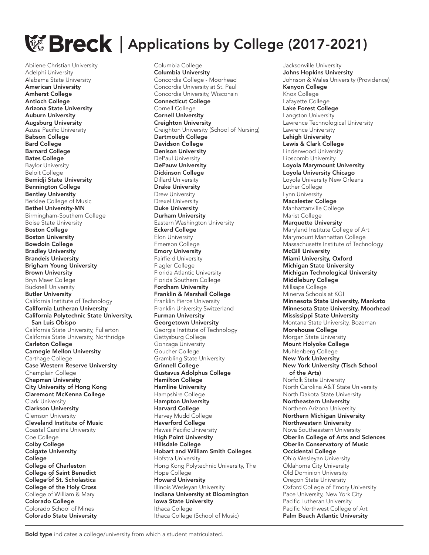## **Breck** | Applications by College (2017-2021)

Abilene Christian University Adelphi University Alabama State University American University Amherst College Antioch College Arizona State University Auburn University Augsburg University Azusa Pacific University Babson College Bard College Barnard College Bates College Baylor University Beloit College Bemidji State University Bennington College Bentley University Berklee College of Music Bethel University-MN Birmingham-Southern College Boise State University Boston College Boston University Bowdoin College Bradley University Brandeis University Brigham Young University Brown University Bryn Mawr College Bucknell University Butler University California Institute of Technology California Lutheran University California Polytechnic State University, San Luis Obispo California State University, Fullerton California State University, Northridge Carleton College Carnegie Mellon University Carthage College Case Western Reserve University Champlain College Chapman University City University of Hong Kong Claremont McKenna College Clark University Clarkson University Clemson University Cleveland Institute of Music Coastal Carolina University Coe College Colby College Colgate University College College of Charleston College of Saint Benedict College of St. Scholastica College of the Holy Cross College of William & Mary Colorado College Colorado School of Mines Colorado State University

Columbia College Columbia University Concordia College - Moorhead Concordia University at St. Paul Concordia University, Wisconsin Connecticut College Cornell College Cornell University Creighton University Creighton University (School of Nursing) Dartmouth College Davidson College Denison University DePaul University DePauw University Dickinson College Dillard University Drake University Drew University Drexel University Duke University Durham University Eastern Washington University Eckerd College Elon University Emerson College Emory University Fairfield University Flagler College Florida Atlantic University Florida Southern College Fordham University Franklin & Marshall College Franklin Pierce University Franklin University Switzerland Furman University Georgetown University Georgia Institute of Technology Gettysburg College Gonzaga University Goucher College Grambling State University Grinnell College Gustavus Adolphus College Hamilton College Hamline University Hampshire College Hampton University Harvard College Harvey Mudd College Haverford College Hawaii Pacific University High Point University Hillsdale College Hobart and William Smith Colleges Hofstra University Hong Kong Polytechnic University, The Hope College Howard University Illinois Wesleyan University Indiana University at Bloomington Iowa State University Ithaca College Ithaca College (School of Music)

Jacksonville University Johns Hopkins University Johnson & Wales University (Providence) Kenyon College Knox College Lafayette College Lake Forest College Langston University Lawrence Technological University Lawrence University Lehigh University Lewis & Clark College Lindenwood University Lipscomb University Loyola Marymount University Loyola University Chicago Loyola University New Orleans Luther College Lynn University Macalester College Manhattanville College Marist College Marquette University Maryland Institute College of Art Marymount Manhattan College Massachusetts Institute of Technology McGill University Miami University, Oxford Michigan State University Michigan Technological University Middlebury College Millsaps College Minerva Schools at KGI Minnesota State University, Mankato Minnesota State University, Moorhead Mississippi State University Montana State University, Bozeman Morehouse College Morgan State University Mount Holyoke College Muhlenberg College New York University New York University (Tisch School of the Arts) Norfolk State University North Carolina A&T State University North Dakota State University Northeastern University Northern Arizona University Northern Michigan University Northwestern University Nova Southeastern University Oberlin College of Arts and Sciences Oberlin Conservatory of Music Occidental College Ohio Wesleyan University Oklahoma City University Old Dominion University Oregon State University Oxford College of Emory University Pace University, New York City Pacific Lutheran University Pacific Northwest College of Art Palm Beach Atlantic University